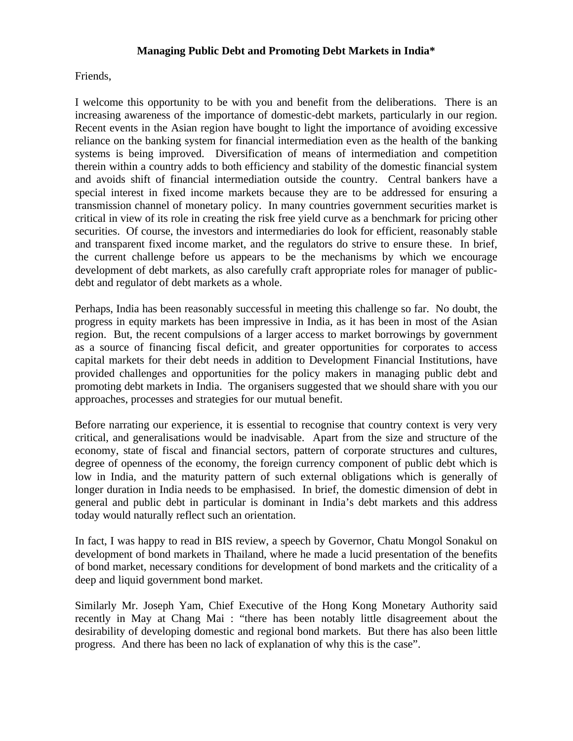## **Managing Public Debt and Promoting Debt Markets in India\***

Friends,

I welcome this opportunity to be with you and benefit from the deliberations. There is an increasing awareness of the importance of domestic-debt markets, particularly in our region. Recent events in the Asian region have bought to light the importance of avoiding excessive reliance on the banking system for financial intermediation even as the health of the banking systems is being improved. Diversification of means of intermediation and competition therein within a country adds to both efficiency and stability of the domestic financial system and avoids shift of financial intermediation outside the country. Central bankers have a special interest in fixed income markets because they are to be addressed for ensuring a transmission channel of monetary policy. In many countries government securities market is critical in view of its role in creating the risk free yield curve as a benchmark for pricing other securities. Of course, the investors and intermediaries do look for efficient, reasonably stable and transparent fixed income market, and the regulators do strive to ensure these. In brief, the current challenge before us appears to be the mechanisms by which we encourage development of debt markets, as also carefully craft appropriate roles for manager of publicdebt and regulator of debt markets as a whole.

Perhaps, India has been reasonably successful in meeting this challenge so far. No doubt, the progress in equity markets has been impressive in India, as it has been in most of the Asian region. But, the recent compulsions of a larger access to market borrowings by government as a source of financing fiscal deficit, and greater opportunities for corporates to access capital markets for their debt needs in addition to Development Financial Institutions, have provided challenges and opportunities for the policy makers in managing public debt and promoting debt markets in India. The organisers suggested that we should share with you our approaches, processes and strategies for our mutual benefit.

Before narrating our experience, it is essential to recognise that country context is very very critical, and generalisations would be inadvisable. Apart from the size and structure of the economy, state of fiscal and financial sectors, pattern of corporate structures and cultures, degree of openness of the economy, the foreign currency component of public debt which is low in India, and the maturity pattern of such external obligations which is generally of longer duration in India needs to be emphasised. In brief, the domestic dimension of debt in general and public debt in particular is dominant in India's debt markets and this address today would naturally reflect such an orientation.

In fact, I was happy to read in BIS review, a speech by Governor, Chatu Mongol Sonakul on development of bond markets in Thailand, where he made a lucid presentation of the benefits of bond market, necessary conditions for development of bond markets and the criticality of a deep and liquid government bond market.

Similarly Mr. Joseph Yam, Chief Executive of the Hong Kong Monetary Authority said recently in May at Chang Mai : "there has been notably little disagreement about the desirability of developing domestic and regional bond markets. But there has also been little progress. And there has been no lack of explanation of why this is the case".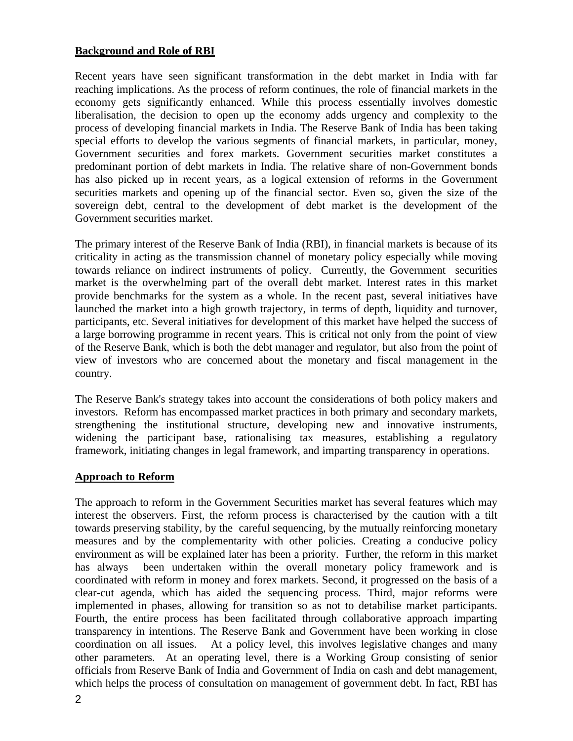### **Background and Role of RBI**

Recent years have seen significant transformation in the debt market in India with far reaching implications. As the process of reform continues, the role of financial markets in the economy gets significantly enhanced. While this process essentially involves domestic liberalisation, the decision to open up the economy adds urgency and complexity to the process of developing financial markets in India. The Reserve Bank of India has been taking special efforts to develop the various segments of financial markets, in particular, money, Government securities and forex markets. Government securities market constitutes a predominant portion of debt markets in India. The relative share of non-Government bonds has also picked up in recent years, as a logical extension of reforms in the Government securities markets and opening up of the financial sector. Even so, given the size of the sovereign debt, central to the development of debt market is the development of the Government securities market.

The primary interest of the Reserve Bank of India (RBI), in financial markets is because of its criticality in acting as the transmission channel of monetary policy especially while moving towards reliance on indirect instruments of policy. Currently, the Government securities market is the overwhelming part of the overall debt market. Interest rates in this market provide benchmarks for the system as a whole. In the recent past, several initiatives have launched the market into a high growth trajectory, in terms of depth, liquidity and turnover, participants, etc. Several initiatives for development of this market have helped the success of a large borrowing programme in recent years. This is critical not only from the point of view of the Reserve Bank, which is both the debt manager and regulator, but also from the point of view of investors who are concerned about the monetary and fiscal management in the country.

The Reserve Bank's strategy takes into account the considerations of both policy makers and investors. Reform has encompassed market practices in both primary and secondary markets, strengthening the institutional structure, developing new and innovative instruments, widening the participant base, rationalising tax measures, establishing a regulatory framework, initiating changes in legal framework, and imparting transparency in operations.

### **Approach to Reform**

The approach to reform in the Government Securities market has several features which may interest the observers. First, the reform process is characterised by the caution with a tilt towards preserving stability, by the careful sequencing, by the mutually reinforcing monetary measures and by the complementarity with other policies. Creating a conducive policy environment as will be explained later has been a priority. Further, the reform in this market has always been undertaken within the overall monetary policy framework and is coordinated with reform in money and forex markets. Second, it progressed on the basis of a clear-cut agenda, which has aided the sequencing process. Third, major reforms were implemented in phases, allowing for transition so as not to detabilise market participants. Fourth, the entire process has been facilitated through collaborative approach imparting transparency in intentions. The Reserve Bank and Government have been working in close coordination on all issues. At a policy level, this involves legislative changes and many other parameters. At an operating level, there is a Working Group consisting of senior officials from Reserve Bank of India and Government of India on cash and debt management, which helps the process of consultation on management of government debt. In fact, RBI has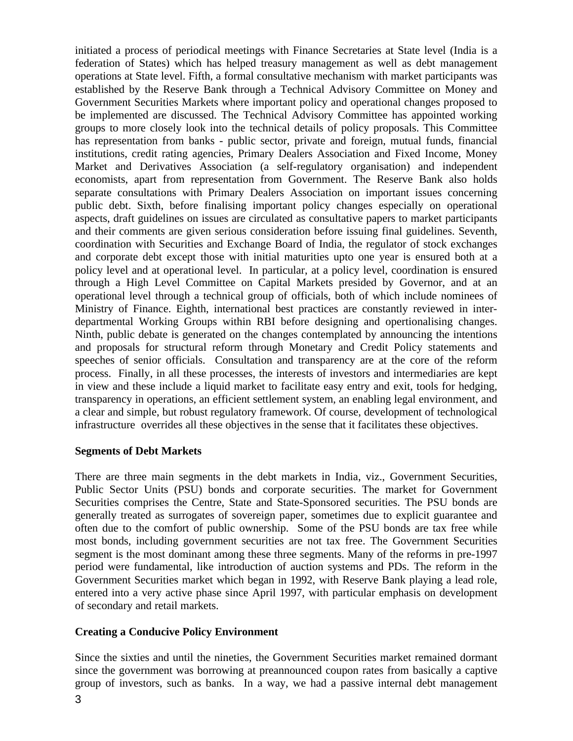initiated a process of periodical meetings with Finance Secretaries at State level (India is a federation of States) which has helped treasury management as well as debt management operations at State level. Fifth, a formal consultative mechanism with market participants was established by the Reserve Bank through a Technical Advisory Committee on Money and Government Securities Markets where important policy and operational changes proposed to be implemented are discussed. The Technical Advisory Committee has appointed working groups to more closely look into the technical details of policy proposals. This Committee has representation from banks - public sector, private and foreign, mutual funds, financial institutions, credit rating agencies, Primary Dealers Association and Fixed Income, Money Market and Derivatives Association (a self-regulatory organisation) and independent economists, apart from representation from Government. The Reserve Bank also holds separate consultations with Primary Dealers Association on important issues concerning public debt. Sixth, before finalising important policy changes especially on operational aspects, draft guidelines on issues are circulated as consultative papers to market participants and their comments are given serious consideration before issuing final guidelines. Seventh, coordination with Securities and Exchange Board of India, the regulator of stock exchanges and corporate debt except those with initial maturities upto one year is ensured both at a policy level and at operational level. In particular, at a policy level, coordination is ensured through a High Level Committee on Capital Markets presided by Governor, and at an operational level through a technical group of officials, both of which include nominees of Ministry of Finance. Eighth, international best practices are constantly reviewed in interdepartmental Working Groups within RBI before designing and opertionalising changes. Ninth, public debate is generated on the changes contemplated by announcing the intentions and proposals for structural reform through Monetary and Credit Policy statements and speeches of senior officials. Consultation and transparency are at the core of the reform process. Finally, in all these processes, the interests of investors and intermediaries are kept in view and these include a liquid market to facilitate easy entry and exit, tools for hedging, transparency in operations, an efficient settlement system, an enabling legal environment, and a clear and simple, but robust regulatory framework. Of course, development of technological infrastructure overrides all these objectives in the sense that it facilitates these objectives.

### **Segments of Debt Markets**

There are three main segments in the debt markets in India, viz., Government Securities, Public Sector Units (PSU) bonds and corporate securities. The market for Government Securities comprises the Centre, State and State-Sponsored securities. The PSU bonds are generally treated as surrogates of sovereign paper, sometimes due to explicit guarantee and often due to the comfort of public ownership. Some of the PSU bonds are tax free while most bonds, including government securities are not tax free. The Government Securities segment is the most dominant among these three segments. Many of the reforms in pre-1997 period were fundamental, like introduction of auction systems and PDs. The reform in the Government Securities market which began in 1992, with Reserve Bank playing a lead role, entered into a very active phase since April 1997, with particular emphasis on development of secondary and retail markets.

### **Creating a Conducive Policy Environment**

Since the sixties and until the nineties, the Government Securities market remained dormant since the government was borrowing at preannounced coupon rates from basically a captive group of investors, such as banks. In a way, we had a passive internal debt management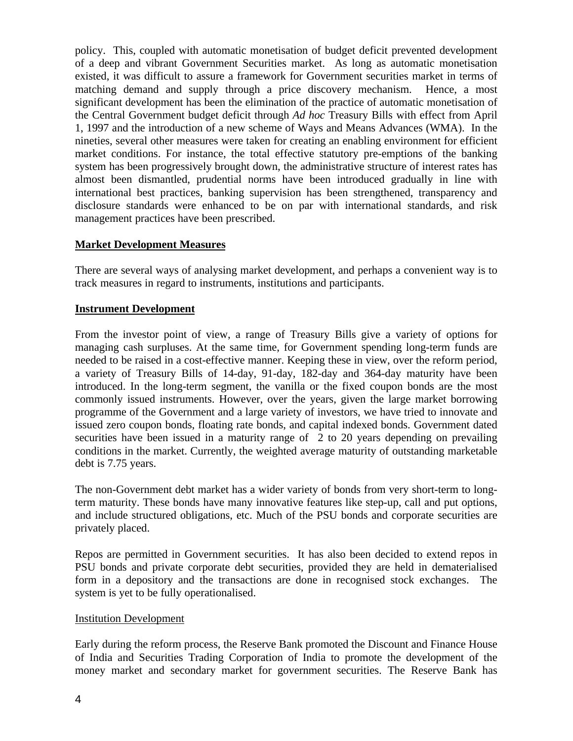policy. This, coupled with automatic monetisation of budget deficit prevented development of a deep and vibrant Government Securities market. As long as automatic monetisation existed, it was difficult to assure a framework for Government securities market in terms of matching demand and supply through a price discovery mechanism. Hence, a most significant development has been the elimination of the practice of automatic monetisation of the Central Government budget deficit through *Ad hoc* Treasury Bills with effect from April 1, 1997 and the introduction of a new scheme of Ways and Means Advances (WMA). In the nineties, several other measures were taken for creating an enabling environment for efficient market conditions. For instance, the total effective statutory pre-emptions of the banking system has been progressively brought down, the administrative structure of interest rates has almost been dismantled, prudential norms have been introduced gradually in line with international best practices, banking supervision has been strengthened, transparency and disclosure standards were enhanced to be on par with international standards, and risk management practices have been prescribed.

## **Market Development Measures**

There are several ways of analysing market development, and perhaps a convenient way is to track measures in regard to instruments, institutions and participants.

## **Instrument Development**

From the investor point of view, a range of Treasury Bills give a variety of options for managing cash surpluses. At the same time, for Government spending long-term funds are needed to be raised in a cost-effective manner. Keeping these in view, over the reform period, a variety of Treasury Bills of 14-day, 91-day, 182-day and 364-day maturity have been introduced. In the long-term segment, the vanilla or the fixed coupon bonds are the most commonly issued instruments. However, over the years, given the large market borrowing programme of the Government and a large variety of investors, we have tried to innovate and issued zero coupon bonds, floating rate bonds, and capital indexed bonds. Government dated securities have been issued in a maturity range of 2 to 20 years depending on prevailing conditions in the market. Currently, the weighted average maturity of outstanding marketable debt is 7.75 years.

The non-Government debt market has a wider variety of bonds from very short-term to longterm maturity. These bonds have many innovative features like step-up, call and put options, and include structured obligations, etc. Much of the PSU bonds and corporate securities are privately placed.

Repos are permitted in Government securities. It has also been decided to extend repos in PSU bonds and private corporate debt securities, provided they are held in dematerialised form in a depository and the transactions are done in recognised stock exchanges. The system is yet to be fully operationalised.

### Institution Development

Early during the reform process, the Reserve Bank promoted the Discount and Finance House of India and Securities Trading Corporation of India to promote the development of the money market and secondary market for government securities. The Reserve Bank has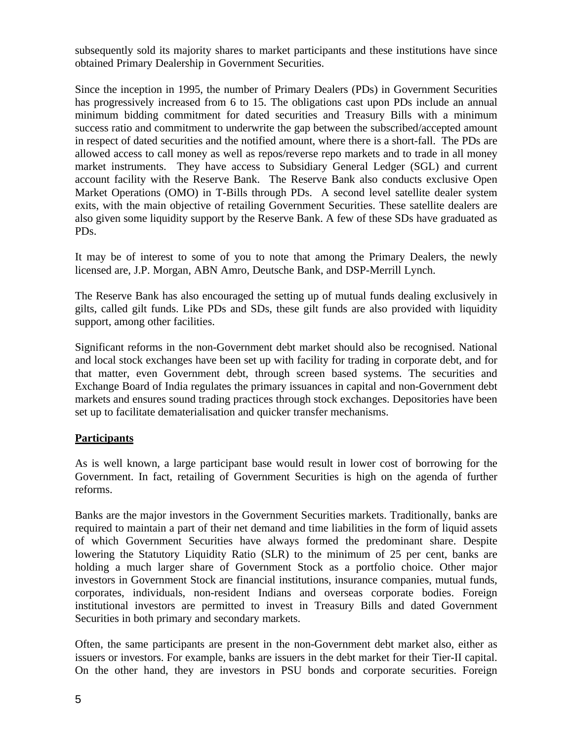subsequently sold its majority shares to market participants and these institutions have since obtained Primary Dealership in Government Securities.

Since the inception in 1995, the number of Primary Dealers (PDs) in Government Securities has progressively increased from 6 to 15. The obligations cast upon PDs include an annual minimum bidding commitment for dated securities and Treasury Bills with a minimum success ratio and commitment to underwrite the gap between the subscribed/accepted amount in respect of dated securities and the notified amount, where there is a short-fall. The PDs are allowed access to call money as well as repos/reverse repo markets and to trade in all money market instruments. They have access to Subsidiary General Ledger (SGL) and current account facility with the Reserve Bank. The Reserve Bank also conducts exclusive Open Market Operations (OMO) in T-Bills through PDs. A second level satellite dealer system exits, with the main objective of retailing Government Securities. These satellite dealers are also given some liquidity support by the Reserve Bank. A few of these SDs have graduated as PDs.

It may be of interest to some of you to note that among the Primary Dealers, the newly licensed are, J.P. Morgan, ABN Amro, Deutsche Bank, and DSP-Merrill Lynch.

The Reserve Bank has also encouraged the setting up of mutual funds dealing exclusively in gilts, called gilt funds. Like PDs and SDs, these gilt funds are also provided with liquidity support, among other facilities.

Significant reforms in the non-Government debt market should also be recognised. National and local stock exchanges have been set up with facility for trading in corporate debt, and for that matter, even Government debt, through screen based systems. The securities and Exchange Board of India regulates the primary issuances in capital and non-Government debt markets and ensures sound trading practices through stock exchanges. Depositories have been set up to facilitate dematerialisation and quicker transfer mechanisms.

# **Participants**

As is well known, a large participant base would result in lower cost of borrowing for the Government. In fact, retailing of Government Securities is high on the agenda of further reforms.

Banks are the major investors in the Government Securities markets. Traditionally, banks are required to maintain a part of their net demand and time liabilities in the form of liquid assets of which Government Securities have always formed the predominant share. Despite lowering the Statutory Liquidity Ratio (SLR) to the minimum of 25 per cent, banks are holding a much larger share of Government Stock as a portfolio choice. Other major investors in Government Stock are financial institutions, insurance companies, mutual funds, corporates, individuals, non-resident Indians and overseas corporate bodies. Foreign institutional investors are permitted to invest in Treasury Bills and dated Government Securities in both primary and secondary markets.

Often, the same participants are present in the non-Government debt market also, either as issuers or investors. For example, banks are issuers in the debt market for their Tier-II capital. On the other hand, they are investors in PSU bonds and corporate securities. Foreign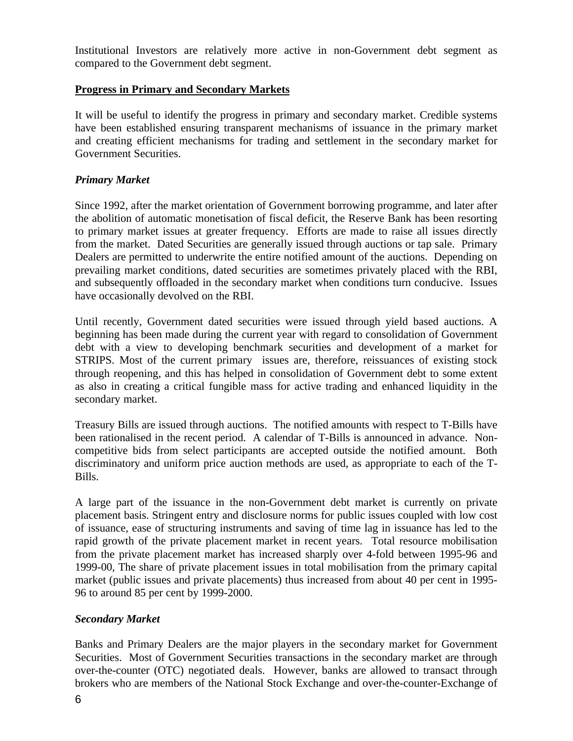Institutional Investors are relatively more active in non-Government debt segment as compared to the Government debt segment.

# **Progress in Primary and Secondary Markets**

It will be useful to identify the progress in primary and secondary market. Credible systems have been established ensuring transparent mechanisms of issuance in the primary market and creating efficient mechanisms for trading and settlement in the secondary market for Government Securities.

## *Primary Market*

Since 1992, after the market orientation of Government borrowing programme, and later after the abolition of automatic monetisation of fiscal deficit, the Reserve Bank has been resorting to primary market issues at greater frequency. Efforts are made to raise all issues directly from the market. Dated Securities are generally issued through auctions or tap sale. Primary Dealers are permitted to underwrite the entire notified amount of the auctions. Depending on prevailing market conditions, dated securities are sometimes privately placed with the RBI, and subsequently offloaded in the secondary market when conditions turn conducive. Issues have occasionally devolved on the RBI.

Until recently, Government dated securities were issued through yield based auctions. A beginning has been made during the current year with regard to consolidation of Government debt with a view to developing benchmark securities and development of a market for STRIPS. Most of the current primary issues are, therefore, reissuances of existing stock through reopening, and this has helped in consolidation of Government debt to some extent as also in creating a critical fungible mass for active trading and enhanced liquidity in the secondary market.

Treasury Bills are issued through auctions. The notified amounts with respect to T-Bills have been rationalised in the recent period. A calendar of T-Bills is announced in advance. Noncompetitive bids from select participants are accepted outside the notified amount. Both discriminatory and uniform price auction methods are used, as appropriate to each of the T-Bills.

A large part of the issuance in the non-Government debt market is currently on private placement basis. Stringent entry and disclosure norms for public issues coupled with low cost of issuance, ease of structuring instruments and saving of time lag in issuance has led to the rapid growth of the private placement market in recent years. Total resource mobilisation from the private placement market has increased sharply over 4-fold between 1995-96 and 1999-00, The share of private placement issues in total mobilisation from the primary capital market (public issues and private placements) thus increased from about 40 per cent in 1995- 96 to around 85 per cent by 1999-2000.

### *Secondary Market*

Banks and Primary Dealers are the major players in the secondary market for Government Securities. Most of Government Securities transactions in the secondary market are through over-the-counter (OTC) negotiated deals. However, banks are allowed to transact through brokers who are members of the National Stock Exchange and over-the-counter-Exchange of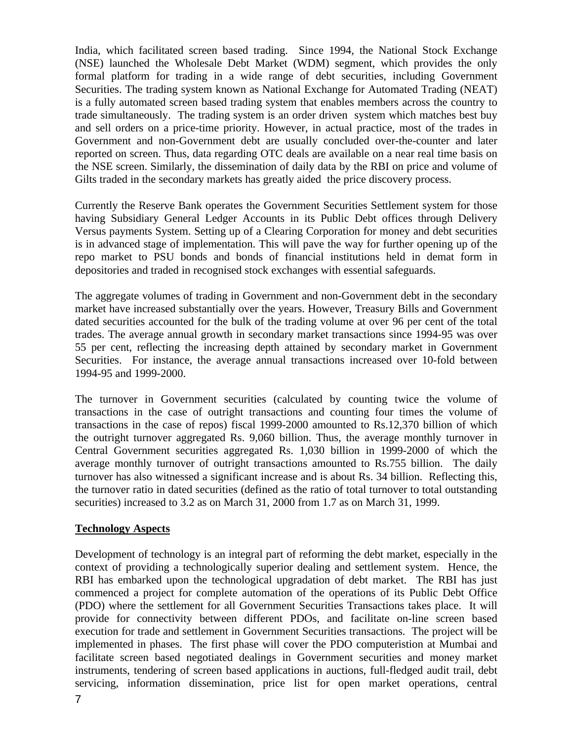India, which facilitated screen based trading. Since 1994, the National Stock Exchange (NSE) launched the Wholesale Debt Market (WDM) segment, which provides the only formal platform for trading in a wide range of debt securities, including Government Securities. The trading system known as National Exchange for Automated Trading (NEAT) is a fully automated screen based trading system that enables members across the country to trade simultaneously. The trading system is an order driven system which matches best buy and sell orders on a price-time priority. However, in actual practice, most of the trades in Government and non-Government debt are usually concluded over-the-counter and later reported on screen. Thus, data regarding OTC deals are available on a near real time basis on the NSE screen. Similarly, the dissemination of daily data by the RBI on price and volume of Gilts traded in the secondary markets has greatly aided the price discovery process.

Currently the Reserve Bank operates the Government Securities Settlement system for those having Subsidiary General Ledger Accounts in its Public Debt offices through Delivery Versus payments System. Setting up of a Clearing Corporation for money and debt securities is in advanced stage of implementation. This will pave the way for further opening up of the repo market to PSU bonds and bonds of financial institutions held in demat form in depositories and traded in recognised stock exchanges with essential safeguards.

The aggregate volumes of trading in Government and non-Government debt in the secondary market have increased substantially over the years. However, Treasury Bills and Government dated securities accounted for the bulk of the trading volume at over 96 per cent of the total trades. The average annual growth in secondary market transactions since 1994-95 was over 55 per cent, reflecting the increasing depth attained by secondary market in Government Securities. For instance, the average annual transactions increased over 10-fold between 1994-95 and 1999-2000.

The turnover in Government securities (calculated by counting twice the volume of transactions in the case of outright transactions and counting four times the volume of transactions in the case of repos) fiscal 1999-2000 amounted to Rs.12,370 billion of which the outright turnover aggregated Rs. 9,060 billion. Thus, the average monthly turnover in Central Government securities aggregated Rs. 1,030 billion in 1999-2000 of which the average monthly turnover of outright transactions amounted to Rs.755 billion. The daily turnover has also witnessed a significant increase and is about Rs. 34 billion. Reflecting this, the turnover ratio in dated securities (defined as the ratio of total turnover to total outstanding securities) increased to 3.2 as on March 31, 2000 from 1.7 as on March 31, 1999.

### **Technology Aspects**

Development of technology is an integral part of reforming the debt market, especially in the context of providing a technologically superior dealing and settlement system. Hence, the RBI has embarked upon the technological upgradation of debt market. The RBI has just commenced a project for complete automation of the operations of its Public Debt Office (PDO) where the settlement for all Government Securities Transactions takes place. It will provide for connectivity between different PDOs, and facilitate on-line screen based execution for trade and settlement in Government Securities transactions. The project will be implemented in phases. The first phase will cover the PDO computeristion at Mumbai and facilitate screen based negotiated dealings in Government securities and money market instruments, tendering of screen based applications in auctions, full-fledged audit trail, debt servicing, information dissemination, price list for open market operations, central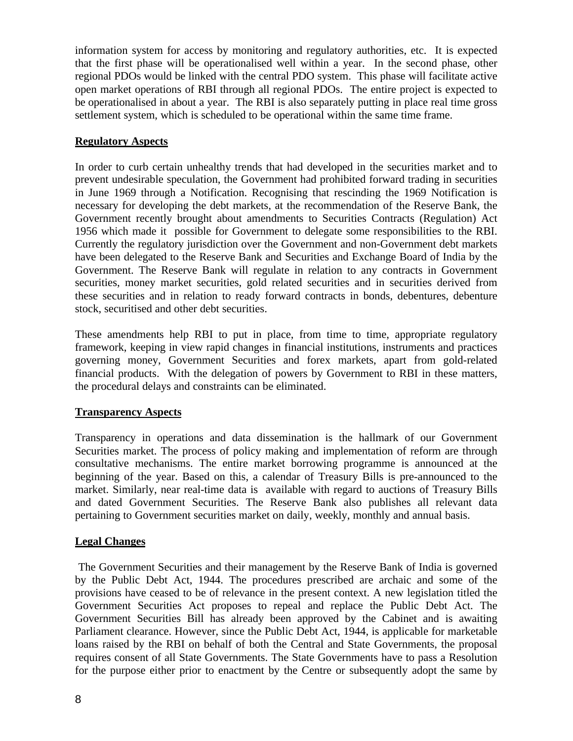information system for access by monitoring and regulatory authorities, etc. It is expected that the first phase will be operationalised well within a year. In the second phase, other regional PDOs would be linked with the central PDO system. This phase will facilitate active open market operations of RBI through all regional PDOs. The entire project is expected to be operationalised in about a year. The RBI is also separately putting in place real time gross settlement system, which is scheduled to be operational within the same time frame.

# **Regulatory Aspects**

In order to curb certain unhealthy trends that had developed in the securities market and to prevent undesirable speculation, the Government had prohibited forward trading in securities in June 1969 through a Notification. Recognising that rescinding the 1969 Notification is necessary for developing the debt markets, at the recommendation of the Reserve Bank, the Government recently brought about amendments to Securities Contracts (Regulation) Act 1956 which made it possible for Government to delegate some responsibilities to the RBI. Currently the regulatory jurisdiction over the Government and non-Government debt markets have been delegated to the Reserve Bank and Securities and Exchange Board of India by the Government. The Reserve Bank will regulate in relation to any contracts in Government securities, money market securities, gold related securities and in securities derived from these securities and in relation to ready forward contracts in bonds, debentures, debenture stock, securitised and other debt securities.

These amendments help RBI to put in place, from time to time, appropriate regulatory framework, keeping in view rapid changes in financial institutions, instruments and practices governing money, Government Securities and forex markets, apart from gold-related financial products. With the delegation of powers by Government to RBI in these matters, the procedural delays and constraints can be eliminated.

### **Transparency Aspects**

Transparency in operations and data dissemination is the hallmark of our Government Securities market. The process of policy making and implementation of reform are through consultative mechanisms. The entire market borrowing programme is announced at the beginning of the year. Based on this, a calendar of Treasury Bills is pre-announced to the market. Similarly, near real-time data is available with regard to auctions of Treasury Bills and dated Government Securities. The Reserve Bank also publishes all relevant data pertaining to Government securities market on daily, weekly, monthly and annual basis.

# **Legal Changes**

 The Government Securities and their management by the Reserve Bank of India is governed by the Public Debt Act, 1944. The procedures prescribed are archaic and some of the provisions have ceased to be of relevance in the present context. A new legislation titled the Government Securities Act proposes to repeal and replace the Public Debt Act. The Government Securities Bill has already been approved by the Cabinet and is awaiting Parliament clearance. However, since the Public Debt Act, 1944, is applicable for marketable loans raised by the RBI on behalf of both the Central and State Governments, the proposal requires consent of all State Governments. The State Governments have to pass a Resolution for the purpose either prior to enactment by the Centre or subsequently adopt the same by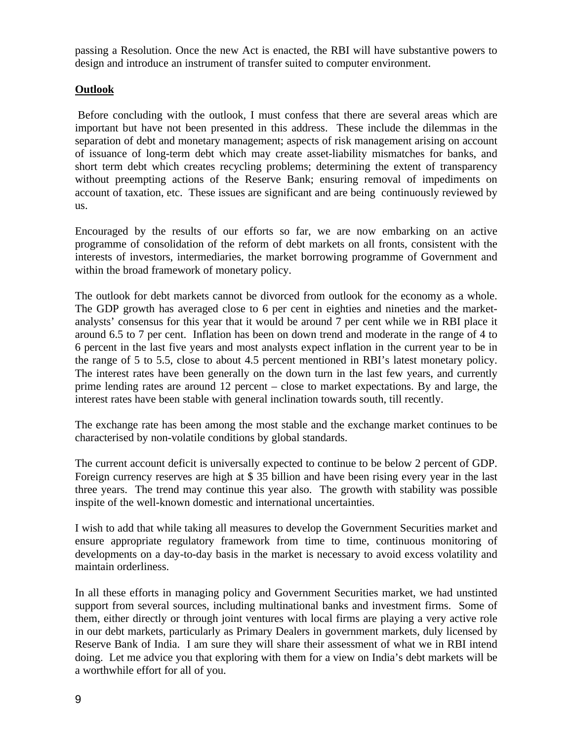passing a Resolution. Once the new Act is enacted, the RBI will have substantive powers to design and introduce an instrument of transfer suited to computer environment.

# **Outlook**

 Before concluding with the outlook, I must confess that there are several areas which are important but have not been presented in this address. These include the dilemmas in the separation of debt and monetary management; aspects of risk management arising on account of issuance of long-term debt which may create asset-liability mismatches for banks, and short term debt which creates recycling problems; determining the extent of transparency without preempting actions of the Reserve Bank; ensuring removal of impediments on account of taxation, etc. These issues are significant and are being continuously reviewed by us.

Encouraged by the results of our efforts so far, we are now embarking on an active programme of consolidation of the reform of debt markets on all fronts, consistent with the interests of investors, intermediaries, the market borrowing programme of Government and within the broad framework of monetary policy.

The outlook for debt markets cannot be divorced from outlook for the economy as a whole. The GDP growth has averaged close to 6 per cent in eighties and nineties and the marketanalysts' consensus for this year that it would be around 7 per cent while we in RBI place it around 6.5 to 7 per cent. Inflation has been on down trend and moderate in the range of 4 to 6 percent in the last five years and most analysts expect inflation in the current year to be in the range of 5 to 5.5, close to about 4.5 percent mentioned in RBI's latest monetary policy. The interest rates have been generally on the down turn in the last few years, and currently prime lending rates are around 12 percent – close to market expectations. By and large, the interest rates have been stable with general inclination towards south, till recently.

The exchange rate has been among the most stable and the exchange market continues to be characterised by non-volatile conditions by global standards.

The current account deficit is universally expected to continue to be below 2 percent of GDP. Foreign currency reserves are high at \$ 35 billion and have been rising every year in the last three years. The trend may continue this year also. The growth with stability was possible inspite of the well-known domestic and international uncertainties.

I wish to add that while taking all measures to develop the Government Securities market and ensure appropriate regulatory framework from time to time, continuous monitoring of developments on a day-to-day basis in the market is necessary to avoid excess volatility and maintain orderliness.

In all these efforts in managing policy and Government Securities market, we had unstinted support from several sources, including multinational banks and investment firms. Some of them, either directly or through joint ventures with local firms are playing a very active role in our debt markets, particularly as Primary Dealers in government markets, duly licensed by Reserve Bank of India. I am sure they will share their assessment of what we in RBI intend doing. Let me advice you that exploring with them for a view on India's debt markets will be a worthwhile effort for all of you.